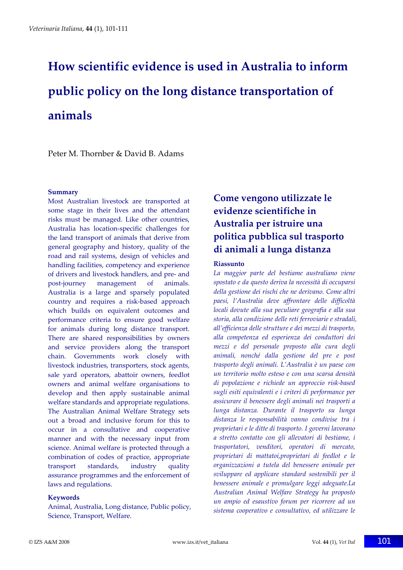# **How scientific evidence is used in Australia to inform public policy on the long distance transportation of animals**

Peter M. Thornber & David B. Adams

#### **Summary**

Most Australian livestock are transported at some stage in their lives and the attendant risks must be managed. Like other countries, Australia has location‐specific challenges for the land transport of animals that derive from general geography and history, quality of the road and rail systems, design of vehicles and handling facilities, competency and experience of drivers and livestock handlers, and pre‐ and post‐journey management of animals. Australia is a large and sparsely populated country and requires a risk‐based approach which builds on equivalent outcomes and performance criteria to ensure good welfare for animals during long distance transport. There are shared responsibilities by owners and service providers along the transport chain. Governments work closely with livestock industries, transporters, stock agents, sale yard operators, abattoir owners, feedlot owners and animal welfare organisations to develop and then apply sustainable animal welfare standards and appropriate regulations. The Australian Animal Welfare Strategy sets out a broad and inclusive forum for this to occur in a consultative and cooperative manner and with the necessary input from science. Animal welfare is protected through a combination of codes of practice, appropriate transport standards, industry quality assurance programmes and the enforcement of laws and regulations.

#### **Keywords**

Animal, Australia, Long distance, Public policy, Science, Transport, Welfare.

# **Come vengono utilizzate le evidenze scientifiche in Australia per istruire una politica pubblica sul trasporto di animali a lunga distanza**

#### **Riassunto**

*La maggior parte del bestiame australiano viene spostato e da questo deriva la necessità di occuparsi della gestione dei rischi che ne derivano. Come altri paesi, l'Australia deve affrontare delle difficoltà locali dovute alla sua peculiare geografia e alla sua storia, alla condizione delle reti ferroviarie e stradali, all'efficienza delle strutture e dei mezzi di trasporto, alla competenza ed esperienza dei conduttori dei mezzi e del personale preposto alla cura degli animali, nonché dalla gestione del pre e post trasporto degli animali. L'Australia è un paese con un territorio molto esteso e con una scarsa densità di popolazione e richiede un approccio risk‐based sugli esiti equivalenti e i criteri di performance per assicurare il benessere degli animali nei trasporti a lunga distanza. Durante il trasporto su lunga distanza le responsabilità vanno condivise tra i proprietari e le ditte di trasporto. I governi lavorano a stretto contatto con gli allevatori di bestiame, i trasportatori, venditori, operatori di mercato, proprietari di mattatoi,proprietari di feedlot e le organizzazioni a tutela del benessere animale per sviluppare ed applicare standard sostenibili per il benessere animale e promulgare leggi adeguate.La Australian Animal Welfare Strategy ha proposto un ampio ed esaustivo forum per ricorrere ad un sistema cooperativo e consultativo, ed utilizzare le*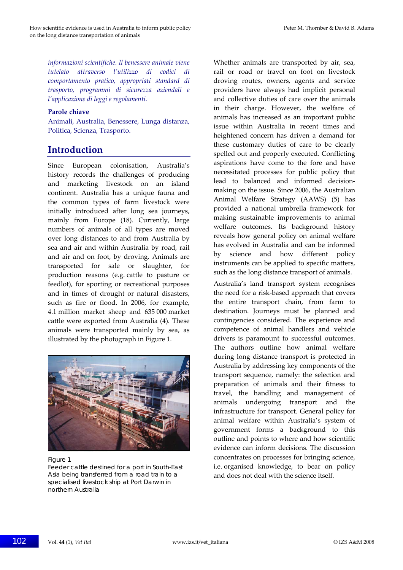*informazioni scientifiche. Il benessere animale viene tutelato attraverso l'utilizzo di codici di comportamento pratico, appropriati standard di trasporto, programmi di sicurezza aziendali e l'applicazione di leggi e regolamenti.* 

#### **Parole chiave**

Animali, Australia, Benessere, Lunga distanza, Politica, Scienza, Trasporto.

## **Introduction**

Since European colonisation, Australia's history records the challenges of producing and marketing livestock on an island continent. Australia has a unique fauna and the common types of farm livestock were initially introduced after long sea journeys, mainly from Europe (18). Currently, large numbers of animals of all types are moved over long distances to and from Australia by sea and air and within Australia by road, rail and air and on foot, by droving. Animals are transported for sale or slaughter, for production reasons (e.g. cattle to pasture or feedlot), for sporting or recreational purposes and in times of drought or natural disasters, such as fire or flood. In 2006, for example, 4.1 million market sheep and 635 000 market cattle were exported from Australia (4). These animals were transported mainly by sea, as illustrated by the photograph in Figure 1.



#### Figure 1

Feeder cattle destined for a port in South-East Asia being transferred from a road train to a specialised livestock ship at Port Darwin in northern Australia

Whether animals are transported by air, sea, rail or road or travel on foot on livestock droving routes, owners, agents and service providers have always had implicit personal and collective duties of care over the animals in their charge. However, the welfare of animals has increased as an important public issue within Australia in recent times and heightened concern has driven a demand for these customary duties of care to be clearly spelled out and properly executed. Conflicting aspirations have come to the fore and have necessitated processes for public policy that lead to balanced and informed decision‐ making on the issue. Since 2006, the Australian Animal Welfare Strategy (AAWS) (5) has provided a national umbrella framework for making sustainable improvements to animal welfare outcomes. Its background history reveals how general policy on animal welfare has evolved in Australia and can be informed by science and how different policy instruments can be applied to specific matters, such as the long distance transport of animals.

Australia's land transport system recognises the need for a risk‐based approach that covers the entire transport chain, from farm to destination. Journeys must be planned and contingencies considered. The experience and competence of animal handlers and vehicle drivers is paramount to successful outcomes. The authors outline how animal welfare during long distance transport is protected in Australia by addressing key components of the transport sequence, namely: the selection and preparation of animals and their fitness to travel, the handling and management of animals undergoing transport and the infrastructure for transport. General policy for animal welfare within Australia's system of government forms a background to this outline and points to where and how scientific evidence can inform decisions. The discussion concentrates on processes for bringing science, i.e. organised knowledge, to bear on policy and does not deal with the science itself.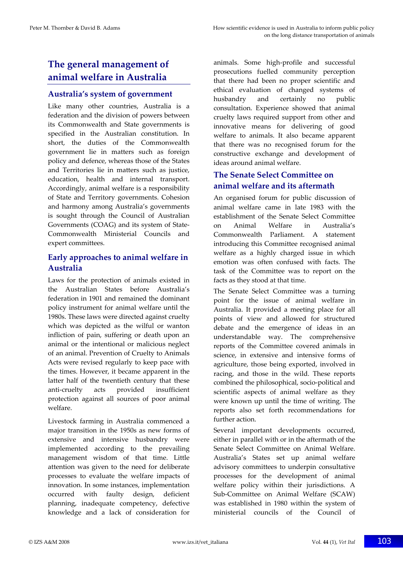## **The general management of animal welfare in Australia**

#### **Australia's system of government**

Like many other countries, Australia is a federation and the division of powers between its Commonwealth and State governments is specified in the Australian constitution. In short, the duties of the Commonwealth government lie in matters such as foreign policy and defence, whereas those of the States and Territories lie in matters such as justice, education, health and internal transport. Accordingly, animal welfare is a responsibility of State and Territory governments. Cohesion and harmony among Australia's governments is sought through the Council of Australian Governments (COAG) and its system of State‐ Commonwealth Ministerial Councils and expert committees.

## **Early approaches to animal welfare in Australia**

Laws for the protection of animals existed in the Australian States before Australia's federation in 1901 and remained the dominant policy instrument for animal welfare until the 1980s. These laws were directed against cruelty which was depicted as the wilful or wanton infliction of pain, suffering or death upon an animal or the intentional or malicious neglect of an animal. Prevention of Cruelty to Animals Acts were revised regularly to keep pace with the times. However, it became apparent in the latter half of the twentieth century that these anti‐cruelty acts provided insufficient protection against all sources of poor animal welfare.

Livestock farming in Australia commenced a major transition in the 1950s as new forms of extensive and intensive husbandry were implemented according to the prevailing management wisdom of that time. Little attention was given to the need for deliberate processes to evaluate the welfare impacts of innovation. In some instances, implementation occurred with faulty design, deficient planning, inadequate competency, defective knowledge and a lack of consideration for

animals. Some high‐profile and successful prosecutions fuelled community perception that there had been no proper scientific and ethical evaluation of changed systems of husbandry and certainly no public consultation. Experience showed that animal cruelty laws required support from other and innovative means for delivering of good welfare to animals. It also became apparent that there was no recognised forum for the constructive exchange and development of ideas around animal welfare.

### **The Senate Select Committee on animal welfare and its aftermath**

An organised forum for public discussion of animal welfare came in late 1983 with the establishment of the Senate Select Committee on Animal Welfare in Australia's Commonwealth Parliament. A statement introducing this Committee recognised animal welfare as a highly charged issue in which emotion was often confused with facts. The task of the Committee was to report on the facts as they stood at that time.

The Senate Select Committee was a turning point for the issue of animal welfare in Australia. It provided a meeting place for all points of view and allowed for structured debate and the emergence of ideas in an understandable way. The comprehensive reports of the Committee covered animals in science, in extensive and intensive forms of agriculture, those being exported, involved in racing, and those in the wild. These reports combined the philosophical, socio‐political and scientific aspects of animal welfare as they were known up until the time of writing. The reports also set forth recommendations for further action.

Several important developments occurred, either in parallel with or in the aftermath of the Senate Select Committee on Animal Welfare. Australia's States set up animal welfare advisory committees to underpin consultative processes for the development of animal welfare policy within their jurisdictions. A Sub‐Committee on Animal Welfare (SCAW) was established in 1980 within the system of ministerial councils of the Council of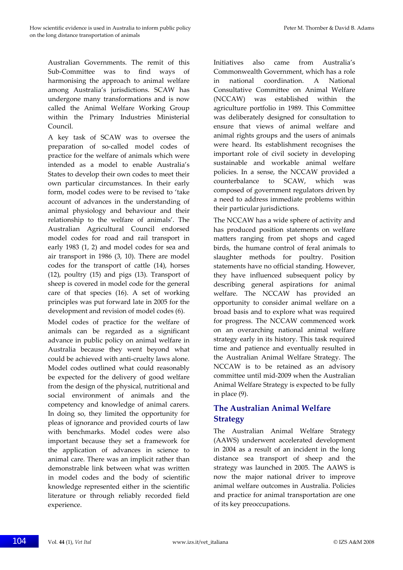Australian Governments. The remit of this Sub‐Committee was to find ways of harmonising the approach to animal welfare among Australia's jurisdictions. SCAW has undergone many transformations and is now called the Animal Welfare Working Group within the Primary Industries Ministerial Council.

A key task of SCAW was to oversee the preparation of so-called model codes of practice for the welfare of animals which were intended as a model to enable Australia's States to develop their own codes to meet their own particular circumstances. In their early form, model codes were to be revised to 'take account of advances in the understanding of animal physiology and behaviour and their relationship to the welfare of animals'. The Australian Agricultural Council endorsed model codes for road and rail transport in early 1983 (1, 2) and model codes for sea and air transport in 1986 (3, 10). There are model codes for the transport of cattle (14), horses (12), poultry (15) and pigs (13). Transport of sheep is covered in model code for the general care of that species (16). A set of working principles was put forward late in 2005 for the development and revision of model codes (6).

Model codes of practice for the welfare of animals can be regarded as a significant advance in public policy on animal welfare in Australia because they went beyond what could be achieved with anti‐cruelty laws alone. Model codes outlined what could reasonably be expected for the delivery of good welfare from the design of the physical, nutritional and social environment of animals and the competency and knowledge of animal carers. In doing so, they limited the opportunity for pleas of ignorance and provided courts of law with benchmarks. Model codes were also important because they set a framework for the application of advances in science to animal care. There was an implicit rather than demonstrable link between what was written in model codes and the body of scientific knowledge represented either in the scientific literature or through reliably recorded field experience.

Initiatives also came from Australia's Commonwealth Government, which has a role in national coordination. A National Consultative Committee on Animal Welfare (NCCAW) was established within the agriculture portfolio in 1989. This Committee was deliberately designed for consultation to ensure that views of animal welfare and animal rights groups and the users of animals were heard. Its establishment recognises the important role of civil society in developing sustainable and workable animal welfare policies. In a sense, the NCCAW provided a counterbalance to SCAW, which was composed of government regulators driven by a need to address immediate problems within their particular jurisdictions.

The NCCAW has a wide sphere of activity and has produced position statements on welfare matters ranging from pet shops and caged birds, the humane control of feral animals to slaughter methods for poultry. Position statements have no official standing. However, they have influenced subsequent policy by describing general aspirations for animal welfare. The NCCAW has provided an opportunity to consider animal welfare on a broad basis and to explore what was required for progress. The NCCAW commenced work on an overarching national animal welfare strategy early in its history. This task required time and patience and eventually resulted in the Australian Animal Welfare Strategy. The NCCAW is to be retained as an advisory committee until mid‐2009 when the Australian Animal Welfare Strategy is expected to be fully in place (9).

## **The Australian Animal Welfare Strategy**

The Australian Animal Welfare Strategy (AAWS) underwent accelerated development in 2004 as a result of an incident in the long distance sea transport of sheep and the strategy was launched in 2005. The AAWS is now the major national driver to improve animal welfare outcomes in Australia. Policies and practice for animal transportation are one of its key preoccupations.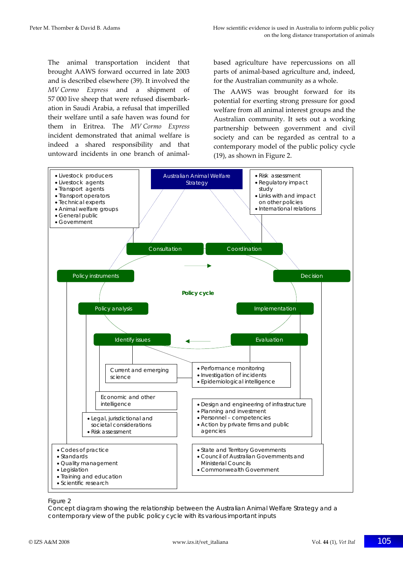The animal transportation incident that brought AAWS forward occurred in late 2003 and is described elsewhere (39). It involved the *MV Cormo Express* and a shipment of 57 000 live sheep that were refused disembark‐ ation in Saudi Arabia, a refusal that imperilled their welfare until a safe haven was found for them in Eritrea. The *MV Cormo Express* incident demonstrated that animal welfare is indeed a shared responsibility and that untoward incidents in one branch of animal‐

based agriculture have repercussions on all parts of animal‐based agriculture and, indeed, for the Australian community as a whole.

The AAWS was brought forward for its potential for exerting strong pressure for good welfare from all animal interest groups and the Australian community. It sets out a working partnership between government and civil society and can be regarded as central to a contemporary model of the public policy cycle (19), as shown in Figure 2.



#### Figure 2

Concept diagram showing the relationship between the Australian Animal Welfare Strategy and a contemporary view of the public policy cycle with its various important inputs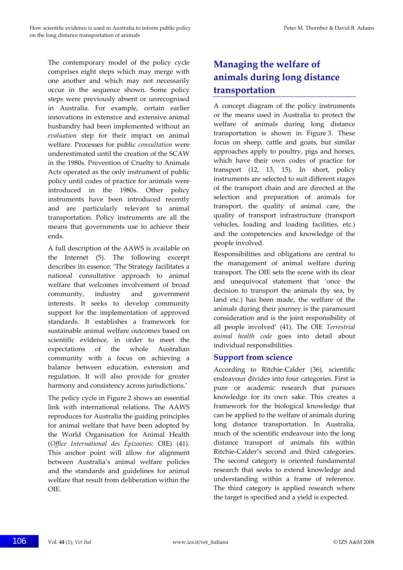The contemporary model of the policy cycle comprises eight steps which may merge with one another and which may not necessarily occur in the sequence shown. Some policy steps were previously absent or unrecognised in Australia. For example, certain earlier innovations in extensive and extensive animal husbandry had been implemented without an *evaluation* step for their impact on animal welfare. Processes for public *consultation* were underestimated until the creation of the SCAW in the 1980s. Prevention of Cruelty to Animals Acts operated as the only instrument of public policy until codes of practice for animals were introduced in the 1980s. Other policy instruments have been introduced recently and are particularly relevant to animal transportation. Policy instruments are all the means that governments use to achieve their ends.

A full description of the AAWS is available on the Internet (5). The following excerpt describes its essence: 'The Strategy facilitates a national consultative approach to animal welfare that welcomes involvement of broad community, industry and government interests. It seeks to develop community support for the implementation of approved standards. It establishes a framework for sustainable animal welfare outcomes based on scientific evidence, in order to meet the expectations of the whole Australian community with a focus on achieving a balance between education, extension and regulation. It will also provide for greater harmony and consistency across jurisdictions.'

The policy cycle in Figure 2 shows an essential link with international relations. The AAWS reproduces for Australia the guiding principles for animal welfare that have been adopted by the World Organisation for Animal Health (*Office International des Épizooties*: OIE) (41). This anchor point will allow for alignment between Australia's animal welfare policies and the standards and guidelines for animal welfare that result from deliberation within the OIE.

# **Managing the welfare of animals during long distance transportation**

A concept diagram of the policy instruments or the means used in Australia to protect the welfare of animals during long distance transportation is shown in Figure 3. These focus on sheep, cattle and goats, but similar approaches apply to poultry, pigs and horses, which have their own codes of practice for transport (12, 13, 15). In short, policy instruments are selected to suit different stages of the transport chain and are directed at the selection and preparation of animals for transport, the quality of animal care, the quality of transport infrastructure (transport vehicles, loading and loading facilities, etc.) and the competencies and knowledge of the people involved.

Responsibilities and obligations are central to the management of animal welfare during transport. The OIE sets the scene with its clear and unequivocal statement that 'once the decision to transport the animals (by sea, by land etc.) has been made, the welfare of the animals during their journey is the paramount consideration and is the joint responsibility of all people involved' (41). The OIE *Terrestrial animal health code* goes into detail about individual responsibilities.

#### **Support from science**

According to Ritchie‐Calder (36), scientific endeavour divides into four categories. First is pure or academic research that pursues knowledge for its own sake. This creates a framework for the biological knowledge that can be applied to the welfare of animals during long distance transportation. In Australia, much of the scientific endeavour into the long distance transport of animals fits within Ritchie‐Calder's second and third categories. The second category is oriented fundamental research that seeks to extend knowledge and understanding within a frame of reference. The third category is applied research where the target is specified and a yield is expected.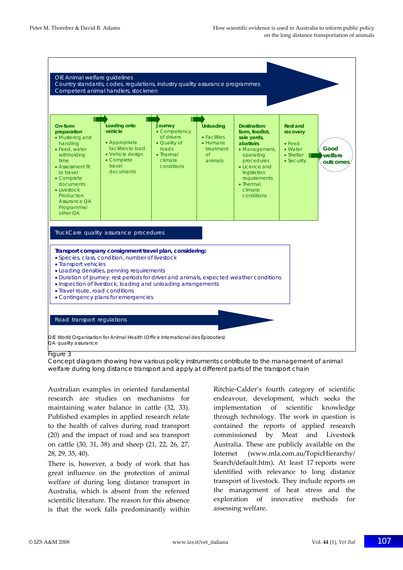

#### Figure 3

Concept diagram showing how various policy instruments contribute to the management of animal welfare during long distance transport and apply at different parts of the transport chain

Australian examples in oriented fundamental research are studies on mechanisms for maintaining water balance in cattle (32, 33). Published examples in applied research relate to the health of calves during road transport (20) and the impact of road and sea transport on cattle (30, 31, 38) and sheep (21, 22, 26, 27, 28, 29, 35, 40).

There is, however, a body of work that has great influence on the protection of animal welfare of during long distance transport in Australia, which is absent from the refereed scientific literature. The reason for this absence is that the work falls predominantly within Ritchie‐Calder's fourth category of scientific endeavour, development, which seeks the implementation of scientific knowledge through technology. The work in question is contained the reports of applied research commissioned by Meat and Livestock Australia. These are publicly available on the Internet (www.mla.com.au/TopicHierarchy/ Search/default.htm). At least 17 reports were identified with relevance to long distance transport of livestock. They include reports on the management of heat stress and the exploration of innovative methods for assessing welfare.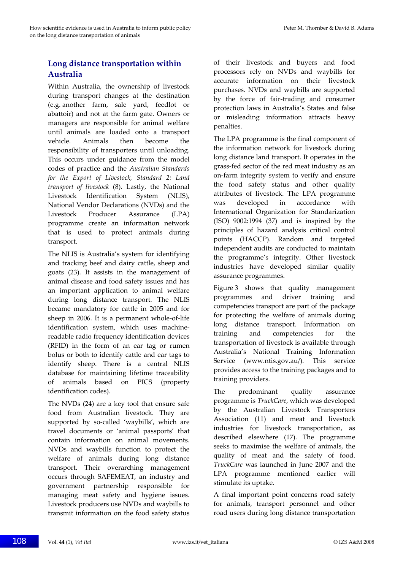## **Long distance transportation within Australia**

Within Australia, the ownership of livestock during transport changes at the destination (e.g. another farm, sale yard, feedlot or abattoir) and not at the farm gate. Owners or managers are responsible for animal welfare until animals are loaded onto a transport vehicle. Animals then become the responsibility of transporters until unloading. This occurs under guidance from the model codes of practice and the *Australian Standards for the Export of Livestock, Standard 2: Land transport of livestock* (8). Lastly, the National Livestock Identification System (NLIS), National Vendor Declarations (NVDs) and the Livestock Producer Assurance (LPA) programme create an information network that is used to protect animals during transport.

The NLIS is Australia's system for identifying and tracking beef and dairy cattle, sheep and goats (23). It assists in the management of animal disease and food safety issues and has an important application to animal welfare during long distance transport. The NLIS became mandatory for cattle in 2005 and for sheep in 2006. It is a permanent whole-of-life identification system, which uses machinereadable radio frequency identification devices (RFID) in the form of an ear tag or rumen bolus or both to identify cattle and ear tags to identify sheep. There is a central NLIS database for maintaining lifetime traceability of animals based on PICS (property identification codes).

The NVDs (24) are a key tool that ensure safe food from Australian livestock. They are supported by so-called 'waybills', which are travel documents or 'animal passports' that contain information on animal movements. NVDs and waybills function to protect the welfare of animals during long distance transport. Their overarching management occurs through SAFEMEAT, an industry and government partnership responsible for managing meat safety and hygiene issues. Livestock producers use NVDs and waybills to transmit information on the food safety status

of their livestock and buyers and food processors rely on NVDs and waybills for accurate information on their livestock purchases. NVDs and waybills are supported by the force of fair‐trading and consumer protection laws in Australia's States and false or misleading information attracts heavy penalties.

The LPA programme is the final component of the information network for livestock during long distance land transport. It operates in the grass‐fed sector of the red meat industry as an on‐farm integrity system to verify and ensure the food safety status and other quality attributes of livestock. The LPA programme was developed in accordance with International Organization for Standarization (ISO) 9002:1994 (37) and is inspired by the principles of hazard analysis critical control points (HACCP). Random and targeted independent audits are conducted to maintain the programme's integrity. Other livestock industries have developed similar quality assurance programmes.

Figure 3 shows that quality management programmes and driver training and competencies transport are part of the package for protecting the welfare of animals during long distance transport. Information on training and competencies for the transportation of livestock is available through Australia's National Training Information Service (www.ntis.gov.au/). This service provides access to the training packages and to training providers.

The predominant quality assurance programme is *TruckCare*, which was developed by the Australian Livestock Transporters Association (11) and meat and livestock industries for livestock transportation, as described elsewhere (17). The programme seeks to maximise the welfare of animals, the quality of meat and the safety of food. *TruckCare* was launched in June 2007 and the LPA programme mentioned earlier will stimulate its uptake.

A final important point concerns road safety for animals, transport personnel and other road users during long distance transportation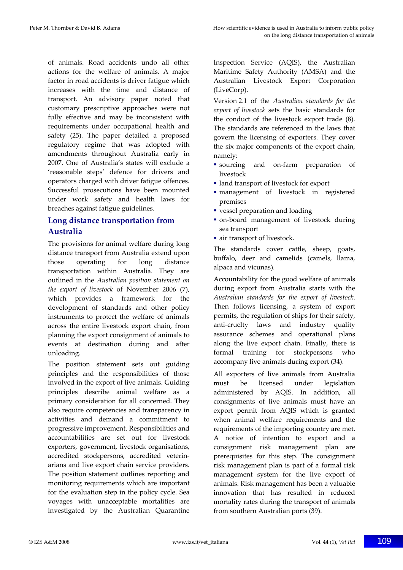of animals. Road accidents undo all other actions for the welfare of animals. A major factor in road accidents is driver fatigue which increases with the time and distance of transport*.* An advisory paper noted that customary prescriptive approaches were not fully effective and may be inconsistent with requirements under occupational health and safety (25). The paper detailed a proposed regulatory regime that was adopted with amendments throughout Australia early in 2007. One of Australia's states will exclude a 'reasonable steps' defence for drivers and operators charged with driver fatigue offences. Successful prosecutions have been mounted under work safety and health laws for breaches against fatigue guidelines.

## **Long distance transportation from Australia**

The provisions for animal welfare during long distance transport from Australia extend upon those operating for long distance transportation within Australia. They are outlined in the *Australian position statement on the export of livestock* of November 2006 (7), which provides a framework for the development of standards and other policy instruments to protect the welfare of animals across the entire livestock export chain, from planning the export consignment of animals to events at destination during and after unloading.

The position statement sets out guiding principles and the responsibilities of those involved in the export of live animals. Guiding principles describe animal welfare as a primary consideration for all concerned. They also require competencies and transparency in activities and demand a commitment to progressive improvement. Responsibilities and accountabilities are set out for livestock exporters, government, livestock organisations, accredited stockpersons, accredited veterin‐ arians and live export chain service providers. The position statement outlines reporting and monitoring requirements which are important for the evaluation step in the policy cycle. Sea voyages with unacceptable mortalities are investigated by the Australian Quarantine

Inspection Service (AQIS), the Australian Maritime Safety Authority (AMSA) and the Australian Livestock Export Corporation (LiveCorp).

Version 2.1 of the *Australian standards for the export of livestock* sets the basic standards for the conduct of the livestock export trade (8). The standards are referenced in the laws that govern the licensing of exporters. They cover the six major components of the export chain, namely:

- sourcing and on-farm preparation of livestock
- land transport of livestock for export
- management of livestock in registered premises
- vessel preparation and loading
- on-board management of livestock during sea transport
- air transport of livestock.

The standards cover cattle, sheep, goats, buffalo, deer and camelids (camels, llama, alpaca and vicunas).

Accountability for the good welfare of animals during export from Australia starts with the *Australian standards for the export of livestock*. Then follows licensing, a system of export permits, the regulation of ships for their safety, anti‐cruelty laws and industry quality assurance schemes and operational plans along the live export chain. Finally, there is formal training for stockpersons who accompany live animals during export (34).

All exporters of live animals from Australia must be licensed under legislation administered by AQIS. In addition, all consignments of live animals must have an export permit from AQIS which is granted when animal welfare requirements and the requirements of the importing country are met. A notice of intention to export and a consignment risk management plan are prerequisites for this step. The consignment risk management plan is part of a formal risk management system for the live export of animals. Risk management has been a valuable innovation that has resulted in reduced mortality rates during the transport of animals from southern Australian ports (39).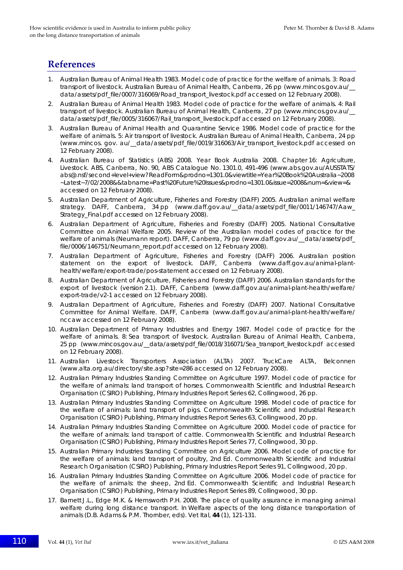## **References**

- 1. Australian Bureau of Animal Health 1983. Model code of practice for the welfare of animals. 3: Road transport of livestock. Australian Bureau of Animal Health, Canberra, 26 pp (www.mincos.gov.au/\_\_ data/assets/pdf\_file/0007/316069/Road\_transport\_livestock.pdf accessed on 12 February 2008).
- 2. Australian Bureau of Animal Health 1983. Model code of practice for the welfare of animals. 4: Rail transport of livestock. Australian Bureau of Animal Health, Canberra, 27 pp (www.mincos.gov.au/\_\_ data/assets/pdf\_file/0005/316067/Rail\_transport\_livestock.pdf accessed on 12 February 2008).
- 3. Australian Bureau of Animal Health and Quarantine Service 1986. Model code of practice for the welfare of animals. 5: Air transport of livestock. Australian Bureau of Animal Health, Canberra, 24 pp (www.mincos. gov. au/\_\_data/assets/pdf\_file/0019/316063/Air\_transport\_livestock.pdf accessed on 12 February 2008).
- 4. Australian Bureau of Statistics (ABS) 2008. Year Book Australia 2008. Chapter 16: Agriculture, Livestock. ABS, Canberra, No. 90, ABS Catalogue No. 1301.0, 491-496 (www.abs.gov.au/AUSSTATS/ abs@.nsf/second+level+view?ReadForm&prodno=1301.0&viewtitle=Year%20Book%20Australia~2008 ~Latest~7/02/2008&&tabname=Past%20Future%20Issues&prodno=1301.0&issue=2008&num=&view=& accessed on 12 February 2008).
- 5. Australian Department of Agriculture, Fisheries and Forestry (DAFF) 2005. Australian animal welfare strategy. DAFF, Canberra, 34 pp (www.daff.gov.au/\_data/assets/pdf\_file/0011/146747/Aaw Strategy Final.pdf accessed on 12 February 2008).
- 6. Australian Department of Agriculture, Fisheries and Forestry (DAFF) 2005. National Consultative Committee on Animal Welfare 2005. Review of the Australian model codes of practice for the welfare of animals (Neumann report). DAFF, Canberra, 79 pp (www.daff.gov.au/\_data/assets/pdf\_ file/0006/146751/Neumann\_report.pdf accessed on 12 February 2008).
- 7. Australian Department of Agriculture, Fisheries and Forestry (DAFF) 2006. Australian position statement on the export of livestock. DAFF, Canberra (www.daff.gov.au/animal-planthealth/welfare/export-trade/pos-statement accessed on 12 February 2008).
- 8. Australian Department of Agriculture, Fisheries and Forestry (DAFF) 2006. Australian standards for the export of livestock (version 2.1). DAFF, Canberra (www.daff.gov.au/animal-plant-health/welfare/ export-trade/v2-1 accessed on 12 February 2008).
- 9. Australian Department of Agriculture, Fisheries and Forestry (DAFF) 2007. National Consultative Committee for Animal Welfare. DAFF, Canberra (www.daff.gov.au/animal-plant-health/welfare/ nccaw accessed on 12 February 2008).
- 10. Australian Department of Primary Industries and Energy 1987. Model code of practice for the welfare of animals. 8: Sea transport of livestock. Australian Bureau of Animal Health, Canberra, 25 pp (www.mincos.gov.au/\_\_data/assets/pdf\_file/0018/316071/Sea\_transport\_livestock.pdf accessed on 12 February 2008).
- 11. Australian Livestock Transporters Association (ALTA) 2007. TruckCare ALTA, Belconnen (www.alta.org.au/directory/site.asp?site=286 accessed on 12 February 2008).
- 12. Australian Primary Industries Standing Committee on Agriculture 1997. Model code of practice for the welfare of animals: land transport of horses*.* Commonwealth Scientific and Industrial Research Organisation (CSIRO) Publishing, Primary Industries Report Series 62, Collingwood, 26 pp.
- 13. Australian Primary Industries Standing Committee on Agriculture 1998. Model code of practice for the welfare of animals: land transport of pigs*.* Commonwealth Scientific and Industrial Research Organisation (CSIRO) Publishing, Primary Industries Report Series 63, Collingwood, 20 pp.
- 14. Australian Primary Industries Standing Committee on Agriculture 2000. Model code of practice for the welfare of animals: land transport of cattle*.* Commonwealth Scientific and Industrial Research Organisation (CSIRO) Publishing, Primary Industries Report Series 77, Collingwood, 30 pp.
- 15. Australian Primary Industries Standing Committee on Agriculture 2006. Model code of practice for the welfare of animals: land transport of poultry, 2nd Ed*.* Commonwealth Scientific and Industrial Research Organisation (CSIRO) Publishing, Primary Industries Report Series 91, Collingwood, 20 pp.
- 16. Australian Primary Industries Standing Committee on Agriculture 2006. Model code of practice for the welfare of animals: the sheep, 2nd Ed*.* Commonwealth Scientific and Industrial Research Organisation (CSIRO) Publishing, Primary Industries Report Series 89, Collingwood, 30 pp.
- 17. Barnett J.L., Edge M.K. & Hemsworth P.H. 2008. The place of quality assurance in managing animal welfare during long distance transport. *In* Welfare aspects of the long distance transportation of animals (D.B. Adams & P.M. Thornber, eds). *Vet Ital*, **44** (1), 121-131.